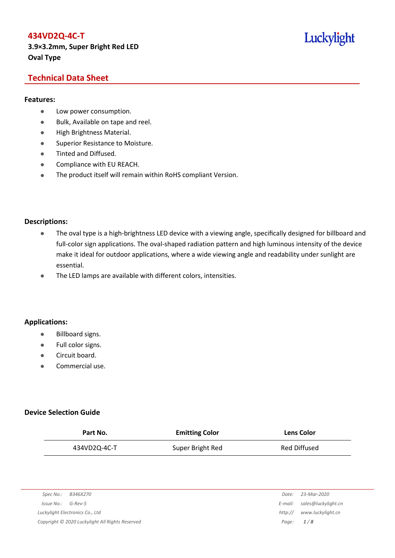# **434VD2Q-4C-T 3.9×3.2mm, Super Bright Red LED Oval Type**

# Luckylight

# **Technical Data Sheet**

### **Features:**

- **•** Low power consumption.
- Bulk, Available on tape and reel.
- High Brightness Material.
- **Superior Resistance to Moisture.**
- Tinted and Diffused.
- **•** Compliance with EU REACH.
- The product itself will remain within RoHS compliant Version.

#### **Descriptions:**

- The oval type is a high-brightness LED device with a viewing angle, specifically designed for billboard and full-color sign applications. The oval-shaped radiation pattern and high luminous intensity of the device make it ideal for outdoor applications, where a wide viewing angle and readability under sunlight are essential.
- The LED lamps are available with different colors, intensities.

### **Applications:**

- Billboard signs.
- Full color signs.
- **Circuit board.**
- Commercial use.

### **Device Selection Guide**

| Part No.     | <b>Emitting Color</b> | <b>Lens Color</b> |
|--------------|-----------------------|-------------------|
| 434VD2Q-4C-T | Super Bright Red      | Red Diffused      |

| Spec No.:<br>B346X270                           | Date:       | 23-Mar-2020                 |
|-------------------------------------------------|-------------|-----------------------------|
| Issue No.:<br>G-Rev-5                           |             | E-mail: sales@luckylight.cn |
| Luckylight Electronics Co., Ltd                 | http://     | www.luckylight.cn           |
| Copyright © 2020 Luckylight All Rights Reserved | Page: $1/8$ |                             |

| Date:   | 23-Mar-2020                 |
|---------|-----------------------------|
|         | :-mail: sales@luckylight.cn |
| http:// | www.luckylight.cn           |
| Page:   | 1/8                         |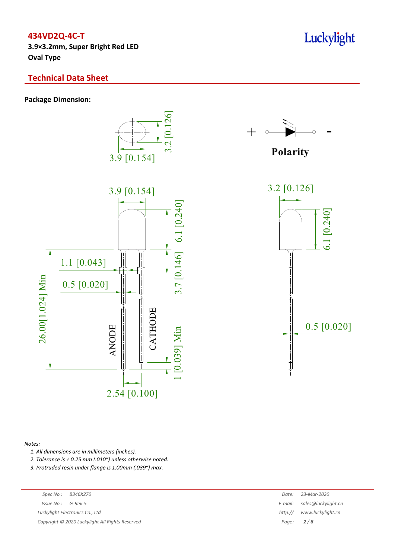**3.9×3.2mm, Super Bright Red LED Oval Type**

# **Technical Data Sheet**

**Package Dimension:**







**Polarity**



#### *Notes:*

*1. All dimensions are in millimeters (inches).*

*2. Tolerance is ± 0.25 mm (.010″) unless otherwise noted.*

*3. Protruded resin under flange is 1.00mm (.039″) max.*

 $Luckylight~Electronics~Co.,~Ltd$ 

*Copyright © 2020 Luckylight All Rights Reserved Page: 2 / 8*

| Spec No.:                                     | B346X270 | Date:   | 23-Mar-2020                 |
|-----------------------------------------------|----------|---------|-----------------------------|
| 'ssue No.:                                    | G-Rev-5  |         | E-mail: sales@luckylight.cn |
| ckylight Electronics Co., Ltd                 |          | http:// | www.luckylight.cn           |
| pyright © 2020 Luckylight All Rights Reserved |          |         | Page: $2/8$                 |

Luckylight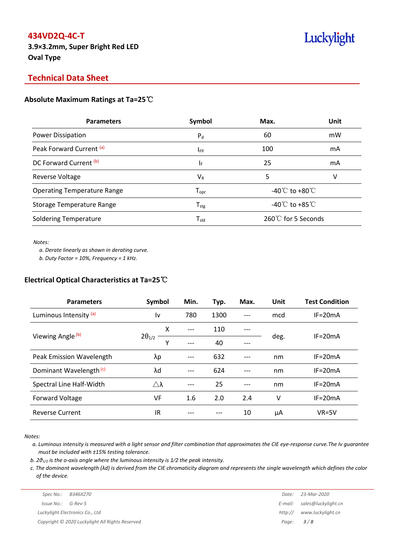**3.9×3.2mm, Super Bright Red LED Oval Type**

# Luckylight

# **Technical Data Sheet**

### **Absolute Maximum Ratings at Ta=25**℃

| <b>Parameters</b>                  | Symbol                       | Max.                                 | Unit |  |
|------------------------------------|------------------------------|--------------------------------------|------|--|
| Power Dissipation                  | $P_{d}$                      | 60                                   | mW   |  |
| Peak Forward Current (a)           | $I_{FP}$                     | 100                                  | mA   |  |
| DC Forward Current (b)             | ΙF                           | 25                                   | mA   |  |
| Reverse Voltage                    | $V_{R}$                      | 5                                    | V    |  |
| <b>Operating Temperature Range</b> | ${\mathsf T}_{\textsf{opr}}$ | -40 $^{\circ}$ C to +80 $^{\circ}$ C |      |  |
| Storage Temperature Range          | ${\mathsf T}_{\textsf{stg}}$ | -40 $\degree$ C to +85 $\degree$ C   |      |  |
| <b>Soldering Temperature</b>       | ${\mathsf T}_{\textsf{sld}}$ | 260℃ for 5 Seconds                   |      |  |

*Notes:*

*a. Derate linearly as shown in derating curve.*

*b. Duty Factor = 10%, Frequency = 1 kHz.*

### **Electrical Optical Characteristics at Ta=25**℃

| <b>Parameters</b>                  | Symbol               | Min.  | Typ. | Max. | Unit | <b>Test Condition</b> |  |
|------------------------------------|----------------------|-------|------|------|------|-----------------------|--|
| Luminous Intensity (a)             | I٧                   | 780   | 1300 |      | mcd  | $IF = 20mA$           |  |
|                                    | X                    | $---$ | 110  | ---  |      |                       |  |
| Viewing Angle <sup>(b)</sup>       | $2\theta_{1/2}$<br>γ | ---   | 40   |      | deg. | $IF = 20mA$           |  |
| Peak Emission Wavelength           | λp                   |       | 632  |      | nm   | $IF = 20mA$           |  |
| Dominant Wavelength <sup>(c)</sup> | λd                   | ---   | 624  |      | nm   | $IF = 20mA$           |  |
| Spectral Line Half-Width           | $Λ$ λ                | ---   | 25   |      | nm   | $IF = 20mA$           |  |
| <b>Forward Voltage</b>             | VF                   | 1.6   | 2.0  | 2.4  | v    | $IF = 20mA$           |  |
| <b>Reverse Current</b>             | IR                   |       |      | 10   | μA   | $VR=5V$               |  |

*Notes:*

a. Luminous intensity is measured with a light sensor and filter combination that approximates the CIE eye-response curve. The Iv guarantee *must be included with ±15% testing tolerance.*

*b. 2θ1/2 is the o-axis angle where the luminous intensity is 1⁄2 the peak intensity.*

c. The dominant wavelength ( $\lambda$ d) is derived from the CIE chromaticity diagram and represents the single wavelength which defines the color *of the device.*

|                       | Spec No.: B346X270                              | Date:       | 23-Mar-2020                 |
|-----------------------|-------------------------------------------------|-------------|-----------------------------|
| $Is sue No.: G-Rev-5$ |                                                 |             | E-mail: sales@luckylight.cn |
|                       | Luckylight Electronics Co., Ltd                 | http://     | www.luckylight.cn           |
|                       | Copyright © 2020 Luckylight All Rights Reserved | Page: $3/8$ |                             |
|                       |                                                 |             |                             |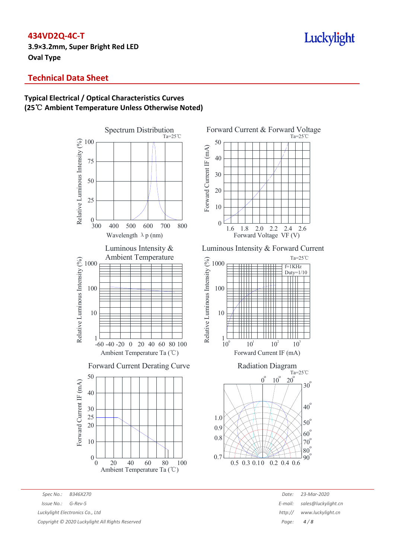**3.9×3.2mm, Super Bright Red LED Oval Type**

# **Technical Data Sheet**

# **Typical Electrical / Optical Characteristics Curves (25**℃ **Ambient Temperature Unless Otherwise Noted)**



Forward Current & Forward Voltage Ta=25℃ 50 Forward Current IF (mA) Forward Current IF (mA) 40 30 20 10 0 2.61.6 1.8 2.0 2.2 2.4 Forward Voltage VF (V)

Luminous Intensity & Forward Current





*Spec No.: B346X270 Date: 23-Mar-2020 Issue No.: G-Rev-5 E-mail: Alternative <i>E-mail: Alternative <i>E-mail: E-mail: Alternative <i>E-mail: E-mail: Alternative Alternative Alternative <i>E-mail: 1999 Luckylight Electronics Co., Ltd http:// www.luckylight.cn Copyright © 2020 Luckylight All Rights Reserved Page: 4 / 8*

| Date:  | 23-Mar-2020         |
|--------|---------------------|
| mail:  | sales@luckylight.cn |
| ttp:// | www.luckylight.cn   |
| Page:  | 4/8                 |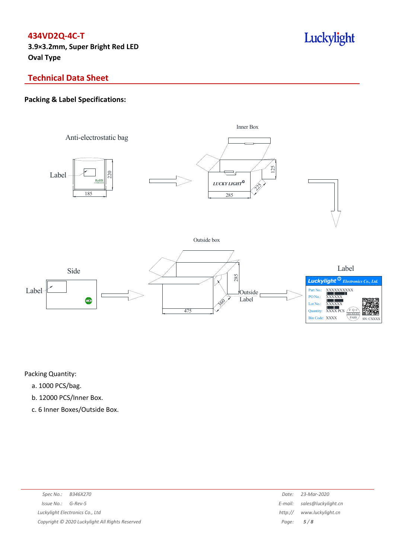**3.9×3.2mm, Super Bright Red LED Oval Type**

# Luckylight

# **Technical Data Sheet**

# **Packing & Label Specifications:**



Packing Quantity:

- a. 1000 PCS/bag.
- b. 12000 PCS/Inner Box.
- c. 6 Inner Boxes/Outside Box.

| Spec No.: B346X270                              | Date:   | 23-Mar-2020                 |
|-------------------------------------------------|---------|-----------------------------|
| $Issue No.: G-Rev-5$                            |         | E-mail: sales@luckylight.cn |
| Luckylight Electronics Co., Ltd                 | http:// | www.luckylight.cn           |
| Copyright © 2020 Luckylight All Rights Reserved |         | Page: $5/8$                 |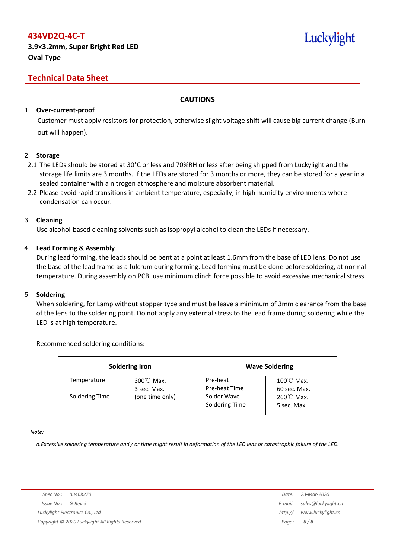# Luckylight

# **Technical Data Sheet**

## **CAUTIONS**

### 1. **Over-current-proof**

Customer must apply resistors for protection, otherwise slight voltage shift will cause big current change (Burn out will happen).

### 2. **Storage**

- 2.1 The LEDs should be stored at 30°C or less and 70%RH or less after being shipped from Luckylight and the storage life limits are 3 months. If the LEDs are stored for 3 months or more, they can be stored for a year in a sealed container with a nitrogen atmosphere and moisture absorbent material.
- 2.2 Please avoid rapid transitions in ambient temperature, especially, in high humidity environments where condensation can occur.

### 3. **Cleaning**

Use alcohol-based cleaning solvents such as isopropyl alcohol to clean the LEDs if necessary.

### 4. **Lead Forming & Assembly**

During lead forming, the leads should be bent at a point at least 1.6mm from the base of LED lens. Do not use the base of the lead frame as a fulcrum during forming. Lead forming must be done before soldering, at normal temperature. During assembly on PCB, use minimum clinch force possible to avoid excessive mechanical stress.

### 5. **Soldering**

When soldering, for Lamp without stopper type and must be leave a minimum of 3mm clearance from the base of the lens to the soldering point. Do not apply any external stress to the lead frame during soldering while the LED is at high temperature.

### Recommended soldering conditions:

|                | <b>Soldering Iron</b>               | <b>Wave Soldering</b>         |                                      |  |  |
|----------------|-------------------------------------|-------------------------------|--------------------------------------|--|--|
| Temperature    | $300^{\circ}$ C Max.<br>3 sec. Max. | Pre-heat<br>Pre-heat Time     | $100^{\circ}$ C Max.<br>60 sec. Max. |  |  |
| Soldering Time | (one time only)                     | Solder Wave<br>Soldering Time | $260^{\circ}$ C Max.<br>5 sec. Max.  |  |  |

*Note:*

a. Excessive soldering temperature and / or time might result in deformation of the LED lens or catastrophic failure of the LED.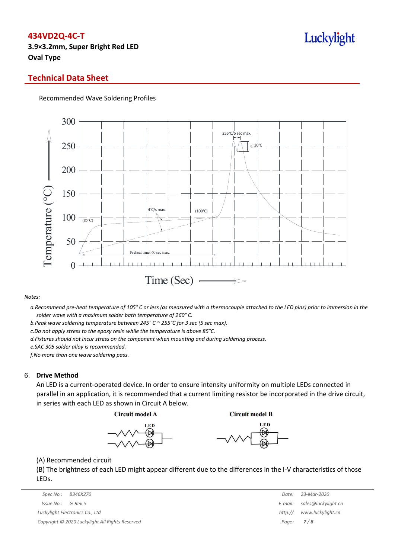**3.9×3.2mm, Super Bright Red LED Oval Type**

# Luckylight

## **Technical Data Sheet**

#### Recommended Wave Soldering Profiles



#### *Notes:*

a. Recommend pre-heat temperature of 105° C or less (as measured with a thermocouple attached to the LED pins) prior to immersion in the *solder wave with a maximum solder bath temperature of 260° C.*

*b.Peak wave soldering temperature between 245° C ~ 255°C for 3 sec (5 sec max).*

*c.Do not apply stress to the epoxy resin while the temperature is above 85°C.*

*d.Fixtures should not incur stress on the component when mounting and during soldering process.*

*e.SAC 305 solder alloy is recommended.*

*f.No more than one wave soldering pass.*

#### 6. **Drive Method**

An LED is a current-operated device. In order to ensure intensity uniformity on multiple LEDs connected in parallel in an application, it is recommended that a current limiting resistor be incorporated in the drive circuit, in series with each LED as shown in Circuit A below.

**Circuit model A** 

**Circuit model B** 





(A) Recommended circuit

(B) The brightness of each LED might appear different due to the differences in the I-V characteristics of those LEDs.

| Spec No.:  | B346X270                                        | Date:       | 23-Mar-2020                 |
|------------|-------------------------------------------------|-------------|-----------------------------|
| Issue No.: | G-Rev-5                                         |             | E-mail: sales@luckylight.cn |
|            | Luckylight Electronics Co., Ltd                 | http://     | www.luckylight.cn           |
|            | Copyright © 2020 Luckylight All Rights Reserved | Page: $7/8$ |                             |

| Date:   | 23-Mar-2020         |
|---------|---------------------|
| E-mail: | sales@luckylight.cn |
| http:// | www.luckylight.cn   |
| Page:   | 7/8                 |